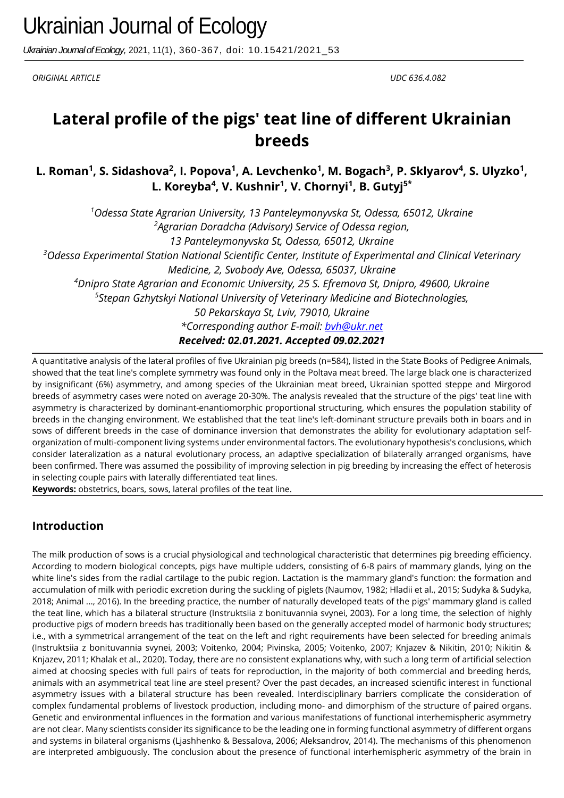*Ukrainian Journal of Ecology,* 2021, 11(1), 360-367, doi: 10.15421/2021\_53

*ORIGINAL ARTICLE UDС 636.4.082*

# **Lateral profile of the pigs' teat line of different Ukrainian breeds**

L. Roman<sup>1</sup>, S. Sidashova<sup>2</sup>, I. Popova<sup>1</sup>, A. Levchenko<sup>1</sup>, M. Bogach<sup>3</sup>, P. Sklyarov<sup>4</sup>, S. Ulyzko<sup>1</sup>, **L. Koreyba<sup>4</sup> , V. Kushnir<sup>1</sup> , V. Chornyi<sup>1</sup> , B. Gutyj5\***

*<sup>1</sup>Odessa State Agrarian University, 13 Panteleymonyvska St, Odessa, 65012, Ukraine <sup>2</sup>Agrarian Doradcha (Advisory) Service of Odessa region, 13 Panteleymonyvska St, Odessa, 65012, Ukraine <sup>3</sup>Odessa Experimental Station National Scientific Center, Institute of Experimental and Clinical Veterinary Medicine, 2, Svobody Ave, Odessa, 65037, Ukraine <sup>4</sup>Dnipro State Agrarian and Economic University, 25 S. Efremova St, Dnipro, 49600, Ukraine 5 Stepan Gzhytskyi National University of Veterinary Medicine and Biotechnologies, 50 Pekarskaya St, Lviv, 79010, Ukraine \*Corresponding author E-mail: bvh@ukr.net Received: 02.01.2021. Accepted 09.02.2021*

A quantitative analysis of the lateral profiles of five Ukrainian pig breeds (n=584), listed in the State Books of Pedigree Animals, showed that the teat line's complete symmetry was found only in the Poltava meat breed. The large black one is characterized by insignificant (6%) asymmetry, and among species of the Ukrainian meat breed, Ukrainian spotted steppe and Mirgorod breeds of asymmetry cases were noted on average 20-30%. The analysis revealed that the structure of the pigs' teat line with asymmetry is characterized by dominant-enantiomorphic proportional structuring, which ensures the population stability of breeds in the changing environment. We established that the teat line's left-dominant structure prevails both in boars and in sows of different breeds in the case of dominance inversion that demonstrates the ability for evolutionary adaptation selforganization of multi-component living systems under environmental factors. The evolutionary hypothesis's conclusions, which consider lateralization as a natural evolutionary process, an adaptive specialization of bilaterally arranged organisms, have been confirmed. There was assumed the possibility of improving selection in pig breeding by increasing the effect of heterosis in selecting couple pairs with laterally differentiated teat lines.

**Keywords:** obstetrics, boars, sows, lateral profiles of the teat line.

### **Introduction**

The milk production of sows is a crucial physiological and technological characteristic that determines pig breeding efficiency. According to modern biological concepts, pigs have multiple udders, consisting of 6-8 pairs of mammary glands, lying on the white line's sides from the radial cartilage to the pubic region. Lactation is the mammary gland's function: the formation and accumulation of milk with periodic excretion during the suckling of piglets (Naumov, 1982; Hladii et al., 2015; Sudyka & Sudyka, 2018; Animal ..., 2016). In the breeding practice, the number of naturally developed teats of the pigs' mammary gland is called the teat line, which has a bilateral structure (Instruktsiia z bonituvannia svynei, 2003). For a long time, the selection of highly productive pigs of modern breeds has traditionally been based on the generally accepted model of harmonic body structures; i.e., with a symmetrical arrangement of the teat on the left and right requirements have been selected for breeding animals (Instruktsiia z bonituvannia svynei, 2003; Voitenko, 2004; Pivinska, 2005; Voitenko, 2007; Knjazev & Nikitin, 2010; Nikitin & Knjazev, 2011; Khalak et al., 2020). Today, there are no consistent explanations why, with such a long term of artificial selection aimed at choosing species with full pairs of teats for reproduction, in the majority of both commercial and breeding herds, animals with an asymmetrical teat line are steel present? Over the past decades, an increased scientific interest in functional asymmetry issues with a bilateral structure has been revealed. Interdisciplinary barriers complicate the consideration of complex fundamental problems of livestock production, including mono- and dimorphism of the structure of paired organs. Genetic and environmental influences in the formation and various manifestations of functional interhemispheric asymmetry are not clear. Many scientists consider its significance to be the leading one in forming functional asymmetry of different organs and systems in bilateral organisms (Ljashhenko & Bessalova, 2006; Aleksandrov, 2014). The mechanisms of this phenomenon are interpreted ambiguously. The conclusion about the presence of functional interhemispheric asymmetry of the brain in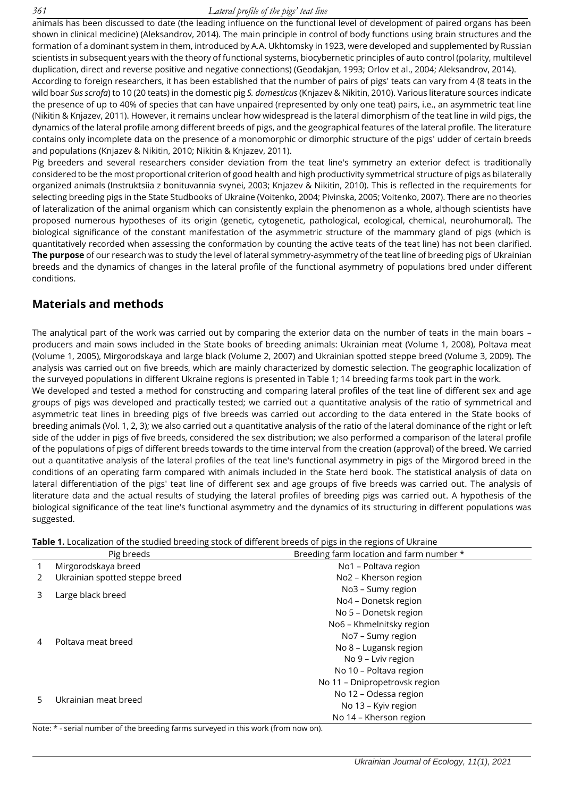#### *361 Lateral profile of the pigs' teat line*

animals has been discussed to date (the leading influence on the functional level of development of paired organs has been shown in clinical medicine) (Aleksandrov, 2014). The main principle in control of body functions using brain structures and the formation of a dominant system in them, introduced by A.A. Ukhtomsky in 1923, were developed and supplemented by Russian scientists in subsequent years with the theory of functional systems, biocybernetic principles of auto control (polarity, multilevel duplication, direct and reverse positive and negative connections) (Geodakjan, 1993; Orlov et al., 2004; Aleksandrov, 2014).

According to foreign researchers, it has been established that the number of pairs of pigs' teats can vary from 4 (8 teats in the wild boar *Sus scrofa*) to 10 (20 teats) in the domestic pig *S. domesticus* (Knjazev & Nikitin, 2010). Various literature sources indicate the presence of up to 40% of species that can have unpaired (represented by only one teat) pairs, i.e., an asymmetric teat line (Nikitin & Knjazev, 2011). However, it remains unclear how widespread is the lateral dimorphism of the teat line in wild pigs, the dynamics of the lateral profile among different breeds of pigs, and the geographical features of the lateral profile. The literature contains only incomplete data on the presence of a monomorphic or dimorphic structure of the pigs' udder of certain breeds and populations (Knjazev & Nikitin, 2010; Nikitin & Knjazev, 2011).

Pig breeders and several researchers consider deviation from the teat line's symmetry an exterior defect is traditionally considered to be the most proportional criterion of good health and high productivity symmetrical structure of pigs as bilaterally organized animals (Instruktsiia z bonituvannia svynei, 2003; Knjazev & Nikitin, 2010). This is reflected in the requirements for selecting breeding pigs in the State Studbooks of Ukraine (Voitenko, 2004; Pivinska, 2005; Voitenko, 2007). There are no theories of lateralization of the animal organism which can consistently explain the phenomenon as a whole, although scientists have proposed numerous hypotheses of its origin (genetic, cytogenetic, pathological, ecological, chemical, neurohumoral). The biological significance of the constant manifestation of the asymmetric structure of the mammary gland of pigs (which is quantitatively recorded when assessing the conformation by counting the active teats of the teat line) has not been clarified. **The purpose** of our research was to study the level of lateral symmetry-asymmetry of the teat line of breeding pigs of Ukrainian breeds and the dynamics of changes in the lateral profile of the functional asymmetry of populations bred under different conditions.

### **Materials and methods**

The analytical part of the work was carried out by comparing the exterior data on the number of teats in the main boars – producers and main sows included in the State books of breeding animals: Ukrainian meat (Volume 1, 2008), Poltava meat (Volume 1, 2005), Mirgorodskaya and large black (Volume 2, 2007) and Ukrainian spotted steppe breed (Volume 3, 2009). The analysis was carried out on five breeds, which are mainly characterized by domestic selection. The geographic localization of the surveyed populations in different Ukraine regions is presented in Table 1; 14 breeding farms took part in the work.

We developed and tested a method for constructing and comparing lateral profiles of the teat line of different sex and age groups of pigs was developed and practically tested; we carried out a quantitative analysis of the ratio of symmetrical and asymmetric teat lines in breeding pigs of five breeds was carried out according to the data entered in the State books of breeding animals (Vol. 1, 2, 3); we also carried out a quantitative analysis of the ratio of the lateral dominance of the right or left side of the udder in pigs of five breeds, considered the sex distribution; we also performed a comparison of the lateral profile of the populations of pigs of different breeds towards to the time interval from the creation (approval) of the breed. We carried out a quantitative analysis of the lateral profiles of the teat line's functional asymmetry in pigs of the Mirgorod breed in the conditions of an operating farm compared with animals included in the State herd book. The statistical analysis of data on lateral differentiation of the pigs' teat line of different sex and age groups of five breeds was carried out. The analysis of literature data and the actual results of studying the lateral profiles of breeding pigs was carried out. A hypothesis of the biological significance of the teat line's functional asymmetry and the dynamics of its structuring in different populations was suggested.

**Table 1.** Localization of the studied breeding stock of different breeds of pigs in the regions of Ukraine

| Pig breeds |                                | Breeding farm location and farm number * |  |  |
|------------|--------------------------------|------------------------------------------|--|--|
|            | Mirgorodskaya breed            | No1 - Poltava region                     |  |  |
|            | Ukrainian spotted steppe breed | No2 - Kherson region                     |  |  |
|            |                                | No3 - Sumy region                        |  |  |
|            | Large black breed              | No4 - Donetsk region                     |  |  |
|            |                                | No 5 - Donetsk region                    |  |  |
|            | Poltava meat breed             | No6 - Khmelnitsky region                 |  |  |
|            |                                | No7 - Sumy region                        |  |  |
|            |                                | No 8 - Lugansk region                    |  |  |
|            |                                | No 9 - Lviv region                       |  |  |
|            |                                | No 10 - Poltava region                   |  |  |
|            |                                | No 11 - Dnipropetrovsk region            |  |  |
|            | Ukrainian meat breed           | No 12 - Odessa region                    |  |  |
| 5          |                                | No 13 - Kyiv region                      |  |  |
|            |                                | No 14 - Kherson region                   |  |  |

Note: \* - serial number of the breeding farms surveyed in this work (from now on).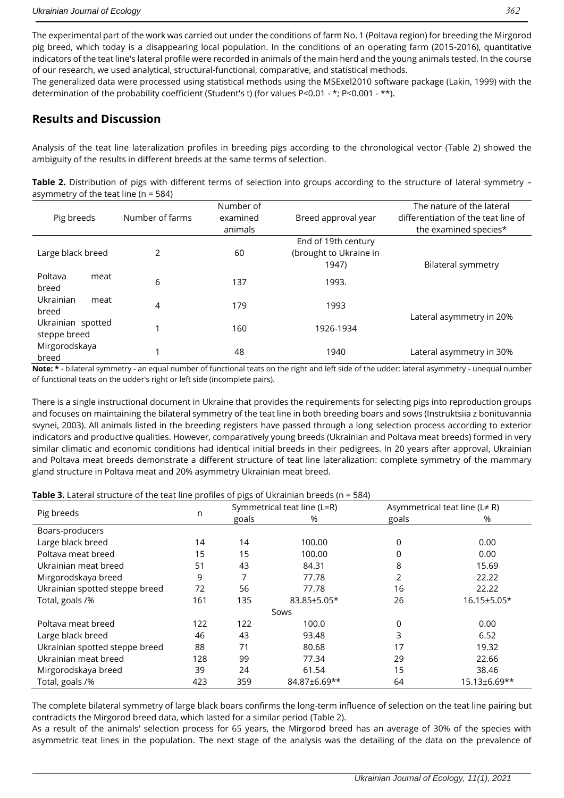The experimental part of the work was carried out under the conditions of farm No. 1 (Poltava region) for breeding the Mirgorod pig breed, which today is a disappearing local population. In the conditions of an operating farm (2015-2016), quantitative indicators of the teat line's lateral profile were recorded in animals of the main herd and the young animals tested. In the course of our research, we used analytical, structural-functional, comparative, and statistical methods.

The generalized data were processed using statistical methods using the MSExel2010 software package (Lakin, 1999) with the determination of the probability coefficient (Student's t) (for values P<0.01 - \*; P<0.001 - \*\*).

## **Results and Discussion**

Analysis of the teat line lateralization profiles in breeding pigs according to the chronological vector (Table 2) showed the ambiguity of the results in different breeds at the same terms of selection.

**Table 2.** Distribution of pigs with different terms of selection into groups according to the structure of lateral symmetry – asymmetry of the teat line (n = 584)

| Pig breeds                        | Number of farms | Number of<br>examined<br>animals | Breed approval year                                    | The nature of the lateral<br>differentiation of the teat line of<br>the examined species* |
|-----------------------------------|-----------------|----------------------------------|--------------------------------------------------------|-------------------------------------------------------------------------------------------|
| Large black breed                 | $\mathcal{P}$   | 60                               | End of 19th century<br>(brought to Ukraine in<br>1947) | Bilateral symmetry                                                                        |
| Poltava<br>meat<br>breed          | 6               | 137                              | 1993.                                                  |                                                                                           |
| Ukrainian<br>meat<br>breed        | 4               | 179                              | 1993                                                   |                                                                                           |
| Ukrainian spotted<br>steppe breed |                 | 160                              | 1926-1934                                              | Lateral asymmetry in 20%                                                                  |
| Mirgorodskaya<br>breed            |                 | 48                               | 1940                                                   | Lateral asymmetry in 30%                                                                  |

**Note: \*** - bilateral symmetry - an equal number of functional teats on the right and left side of the udder; lateral asymmetry - unequal number of functional teats on the udder's right or left side (incomplete pairs).

There is a single instructional document in Ukraine that provides the requirements for selecting pigs into reproduction groups and focuses on maintaining the bilateral symmetry of the teat line in both breeding boars and sows (Instruktsiia z bonituvannia svynei, 2003). All animals listed in the breeding registers have passed through a long selection process according to exterior indicators and productive qualities. However, comparatively young breeds (Ukrainian and Poltava meat breeds) formed in very similar climatic and economic conditions had identical initial breeds in their pedigrees. In 20 years after approval, Ukrainian and Poltava meat breeds demonstrate a different structure of teat line lateralization: complete symmetry of the mammary gland structure in Poltava meat and 20% asymmetry Ukrainian meat breed.

|                                |     | Symmetrical teat line (L=R) |              | Asymmetrical teat line ( $L \neq R$ ) |              |  |
|--------------------------------|-----|-----------------------------|--------------|---------------------------------------|--------------|--|
| Pig breeds                     | n   | goals                       | %            | goals                                 | %            |  |
| Boars-producers                |     |                             |              |                                       |              |  |
| Large black breed              | 14  | 14                          | 100.00       | 0                                     | 0.00         |  |
| Poltava meat breed             | 15  | 15                          | 100.00       | 0                                     | 0.00         |  |
| Ukrainian meat breed           | 51  | 43                          | 84.31        | 8                                     | 15.69        |  |
| Mirgorodskaya breed            | 9   |                             | 77.78        | 2                                     | 22.22        |  |
| Ukrainian spotted steppe breed | 72  | 56                          | 77.78        | 16                                    | 22.22        |  |
| Total, goals /%                | 161 | 135                         | 83.85±5.05*  | 26                                    | 16.15±5.05*  |  |
| Sows                           |     |                             |              |                                       |              |  |
| Poltava meat breed             | 122 | 122                         | 100.0        | 0                                     | 0.00         |  |
| Large black breed              | 46  | 43                          | 93.48        | 3                                     | 6.52         |  |
| Ukrainian spotted steppe breed | 88  | 71                          | 80.68        | 17                                    | 19.32        |  |
| Ukrainian meat breed           | 128 | 99                          | 77.34        | 29                                    | 22.66        |  |
| Mirgorodskaya breed            | 39  | 24                          | 61.54        | 15                                    | 38.46        |  |
| Total, goals /%                | 423 | 359                         | 84.87±6.69** | 64                                    | 15.13±6.69** |  |

The complete bilateral symmetry of large black boars confirms the long-term influence of selection on the teat line pairing but contradicts the Mirgorod breed data, which lasted for a similar period (Table 2).

As a result of the animals' selection process for 65 years, the Mirgorod breed has an average of 30% of the species with asymmetric teat lines in the population. The next stage of the analysis was the detailing of the data on the prevalence of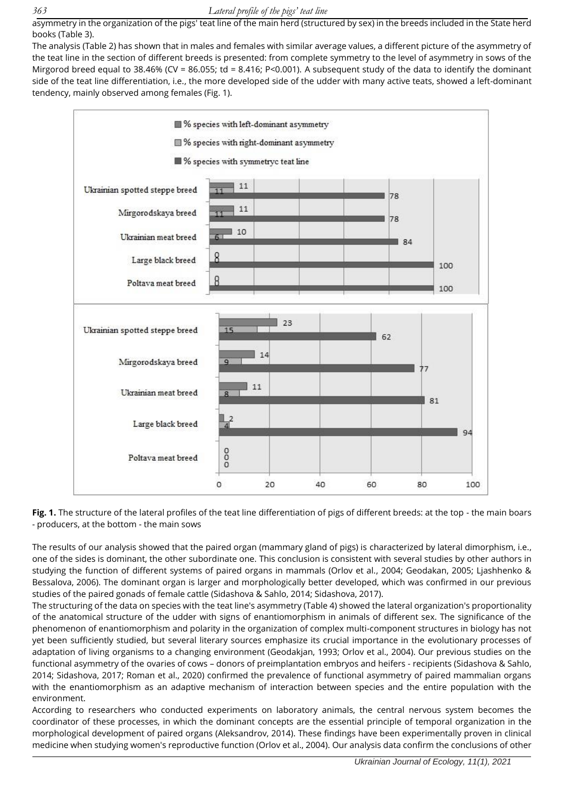asymmetry in the organization of the pigs' teat line of the main herd (structured by sex) in the breeds included in the State herd books (Table 3).

The analysis (Table 2) has shown that in males and females with similar average values, a different picture of the asymmetry of the teat line in the section of different breeds is presented: from complete symmetry to the level of asymmetry in sows of the Mirgorod breed equal to 38.46% (CV = 86.055; td = 8.416; P<0.001). A subsequent study of the data to identify the dominant side of the teat line differentiation, i.e., the more developed side of the udder with many active teats, showed a left-dominant tendency, mainly observed among females (Fig. 1).



**Fig. 1.** The structure of the lateral profiles of the teat line differentiation of pigs of different breeds: at the top - the main boars - producers, at the bottom - the main sows

The results of our analysis showed that the paired organ (mammary gland of pigs) is characterized by lateral dimorphism, i.e., one of the sides is dominant, the other subordinate one. This conclusion is consistent with several studies by other authors in studying the function of different systems of paired organs in mammals (Orlov et al., 2004; Geodakan, 2005; Ljashhenko & Bessalova, 2006). The dominant organ is larger and morphologically better developed, which was confirmed in our previous studies of the paired gonads of female cattle (Sidashova & Sahlo, 2014; Sidashova, 2017).

The structuring of the data on species with the teat line's asymmetry (Table 4) showed the lateral organization's proportionality of the anatomical structure of the udder with signs of enantiomorphism in animals of different sex. The significance of the phenomenon of enantiomorphism and polarity in the organization of complex multi-component structures in biology has not yet been sufficiently studied, but several literary sources emphasize its crucial importance in the evolutionary processes of adaptation of living organisms to a changing environment (Geodakjan, 1993; Orlov et al., 2004). Our previous studies on the functional asymmetry of the ovaries of cows – donors of preimplantation embryos and heifers - recipients (Sidashova & Sahlo, 2014; Sidashova, 2017; Roman et al., 2020) confirmed the prevalence of functional asymmetry of paired mammalian organs with the enantiomorphism as an adaptive mechanism of interaction between species and the entire population with the environment.

According to researchers who conducted experiments on laboratory animals, the central nervous system becomes the coordinator of these processes, in which the dominant concepts are the essential principle of temporal organization in the morphological development of paired organs (Aleksandrov, 2014). These findings have been experimentally proven in clinical medicine when studying women's reproductive function (Orlov et al., 2004). Our analysis data confirm the conclusions of other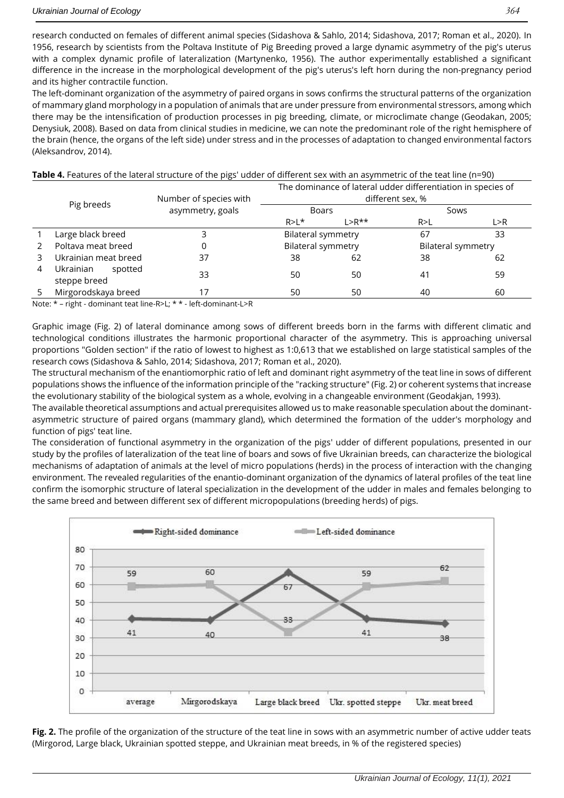research conducted on females of different animal species (Sidashova & Sahlo, 2014; Sidashova, 2017; Roman et al., 2020). In 1956, research by scientists from the Poltava Institute of Pig Breeding proved a large dynamic asymmetry of the pig's uterus with a complex dynamic profile of lateralization (Martynenko, 1956). The author experimentally established a significant difference in the increase in the morphological development of the pig's uterus's left horn during the non-pregnancy period and its higher contractile function.

The left-dominant organization of the asymmetry of paired organs in sows confirms the structural patterns of the organization of mammary gland morphology in a population of animals that are under pressure from environmental stressors, among which there may be the intensification of production processes in pig breeding, climate, or microclimate change (Geodakan, 2005; Denysiuk, 2008). Based on data from clinical studies in medicine, we can note the predominant role of the right hemisphere of the brain (hence, the organs of the left side) under stress and in the processes of adaptation to changed environmental factors (Aleksandrov, 2014).

|   | Pig breeds                           | Number of species with | The dominance of lateral udder differentiation in species of<br>different sex, % |                           |                           |     |
|---|--------------------------------------|------------------------|----------------------------------------------------------------------------------|---------------------------|---------------------------|-----|
|   |                                      | asymmetry, goals       | <b>Boars</b>                                                                     |                           | Sows                      |     |
|   |                                      |                        | $R > L^*$                                                                        | $1 > R^{**}$              | R > L                     | L>R |
|   | Large black breed                    |                        |                                                                                  | <b>Bilateral symmetry</b> | 67                        | 33  |
|   | Poltava meat breed                   |                        | <b>Bilateral symmetry</b>                                                        |                           | <b>Bilateral symmetry</b> |     |
|   | Ukrainian meat breed                 | 37                     | 38                                                                               | 62                        | 38                        | 62  |
| 4 | Ukrainian<br>spotted<br>steppe breed | 33                     | 50                                                                               | 50                        | 41                        | 59  |
|   | Mirgorodskaya breed                  |                        | 50                                                                               | 50                        | 40                        | 60  |

#### **Table 4.** Features of the lateral structure of the pigs' udder of different sex with an asymmetric of the teat line (n=90)

Note: \* – right - dominant teat line-R>L; \* \* - left-dominant-L>R

Graphic image (Fig. 2) of lateral dominance among sows of different breeds born in the farms with different climatic and technological conditions illustrates the harmonic proportional character of the asymmetry. This is approaching universal proportions "Golden section" if the ratio of lowest to highest as 1:0,613 that we established on large statistical samples of the research cows (Sidashova & Sahlo, 2014; Sidashova, 2017; Roman et al., 2020).

The structural mechanism of the enantiomorphic ratio of left and dominant right asymmetry of the teat line in sows of different populations shows the influence of the information principle of the "racking structure" (Fig. 2) or coherent systems that increase the evolutionary stability of the biological system as a whole, evolving in a changeable environment (Geodakjan, 1993).

The available theoretical assumptions and actual prerequisites allowed us to make reasonable speculation about the dominantasymmetric structure of paired organs (mammary gland), which determined the formation of the udder's morphology and function of pigs' teat line.

The consideration of functional asymmetry in the organization of the pigs' udder of different populations, presented in our study by the profiles of lateralization of the teat line of boars and sows of five Ukrainian breeds, can characterize the biological mechanisms of adaptation of animals at the level of micro populations (herds) in the process of interaction with the changing environment. The revealed regularities of the enantio-dominant organization of the dynamics of lateral profiles of the teat line confirm the isomorphic structure of lateral specialization in the development of the udder in males and females belonging to the same breed and between different sex of different micropopulations (breeding herds) of pigs.



**Fig. 2.** The profile of the organization of the structure of the teat line in sows with an asymmetric number of active udder teats (Mirgorod, Large black, Ukrainian spotted steppe, and Ukrainian meat breeds, in % of the registered species)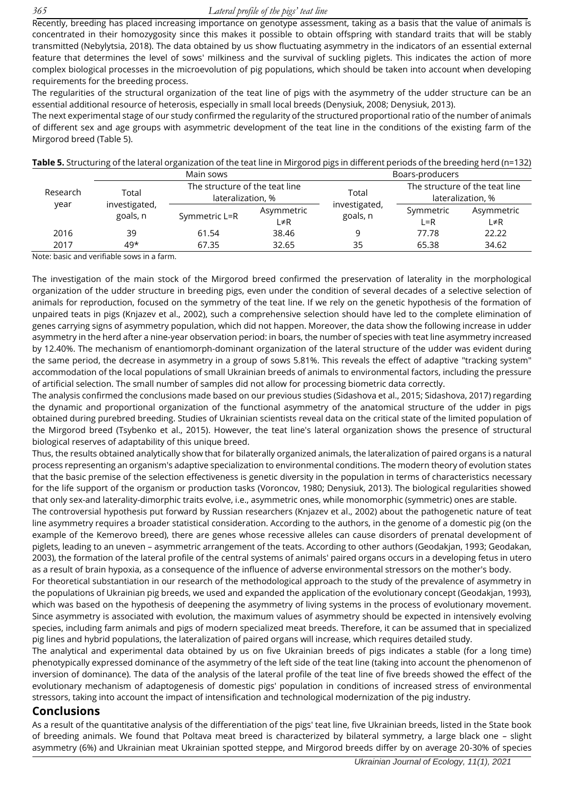Recently, breeding has placed increasing importance on genotype assessment, taking as a basis that the value of animals is concentrated in their homozygosity since this makes it possible to obtain offspring with standard traits that will be stably transmitted (Nebylytsia, 2018). The data obtained by us show fluctuating asymmetry in the indicators of an essential external feature that determines the level of sows' milkiness and the survival of suckling piglets. This indicates the action of more complex biological processes in the microevolution of pig populations, which should be taken into account when developing requirements for the breeding process.

The regularities of the structural organization of the teat line of pigs with the asymmetry of the udder structure can be an essential additional resource of heterosis, especially in small local breeds (Denysiuk, 2008; Denysiuk, 2013).

The next experimental stage of our study confirmed the regularity of the structured proportional ratio of the number of animals of different sex and age groups with asymmetric development of the teat line in the conditions of the existing farm of the Mirgorod breed (Table 5).

|  | Table 5. Structuring of the lateral organization of the teat line in Mirgorod pigs in different periods of the breeding herd (n=132) |  |
|--|--------------------------------------------------------------------------------------------------------------------------------------|--|
|--|--------------------------------------------------------------------------------------------------------------------------------------|--|

|                  |                                    | Main sows                                           |            | Boars-producers           |                                                     |            |
|------------------|------------------------------------|-----------------------------------------------------|------------|---------------------------|-----------------------------------------------------|------------|
| Research<br>year | Total<br>investigated,<br>goals, n | The structure of the teat line<br>lateralization, % |            | Total                     | The structure of the teat line<br>lateralization, % |            |
|                  |                                    | Symmetric L=R                                       | Asymmetric | investigated,<br>goals, n | Symmetric                                           | Asymmetric |
|                  |                                    |                                                     | L≠R        |                           | $L = R$                                             | L≠R        |
| 2016             | 39                                 | 61.54                                               | 38.46      | 9                         | 77.78                                               | 22.22      |
| 2017             | $49*$                              | 67.35                                               | 32.65      | 35                        | 65.38                                               | 34.62      |

Note: basic and verifiable sows in a farm.

The investigation of the main stock of the Mirgorod breed confirmed the preservation of laterality in the morphological organization of the udder structure in breeding pigs, even under the condition of several decades of a selective selection of animals for reproduction, focused on the symmetry of the teat line. If we rely on the genetic hypothesis of the formation of unpaired teats in pigs (Knjazev et al., 2002), such a comprehensive selection should have led to the complete elimination of genes carrying signs of asymmetry population, which did not happen. Moreover, the data show the following increase in udder asymmetry in the herd after a nine-year observation period: in boars, the number of species with teat line asymmetry increased by 12.40%. The mechanism of enantiomorph-dominant organization of the lateral structure of the udder was evident during the same period, the decrease in asymmetry in a group of sows 5.81%. This reveals the effect of adaptive "tracking system" accommodation of the local populations of small Ukrainian breeds of animals to environmental factors, including the pressure of artificial selection. The small number of samples did not allow for processing biometric data correctly.

The analysis confirmed the conclusions made based on our previous studies (Sidashova et al., 2015; Sidashova, 2017) regarding the dynamic and proportional organization of the functional asymmetry of the anatomical structure of the udder in pigs obtained during purebred breeding. Studies of Ukrainian scientists reveal data on the critical state of the limited population of the Mirgorod breed (Tsybenko et al., 2015). However, the teat line's lateral organization shows the presence of structural biological reserves of adaptability of this unique breed.

Thus, the results obtained analytically show that for bilaterally organized animals, the lateralization of paired organs is a natural process representing an organism's adaptive specialization to environmental conditions. The modern theory of evolution states that the basic premise of the selection effectiveness is genetic diversity in the population in terms of characteristics necessary for the life support of the organism or production tasks (Voroncov, 1980; Denysiuk, 2013). The biological regularities showed that only sex-and laterality-dimorphic traits evolve, i.e., asymmetric ones, while monomorphic (symmetric) ones are stable.

The controversial hypothesis put forward by Russian researchers (Knjazev et al., 2002) about the pathogenetic nature of teat line asymmetry requires a broader statistical consideration. According to the authors, in the genome of a domestic pig (on the example of the Kemerovo breed), there are genes whose recessive alleles can cause disorders of prenatal development of piglets, leading to an uneven – asymmetric arrangement of the teats. According to other authors (Geodakjan, 1993; Geodakan, 2003), the formation of the lateral profile of the central systems of animals' paired organs occurs in a developing fetus in utero as a result of brain hypoxia, as a consequence of the influence of adverse environmental stressors on the mother's body.

For theoretical substantiation in our research of the methodological approach to the study of the prevalence of asymmetry in the populations of Ukrainian pig breeds, we used and expanded the application of the evolutionary concept (Geodakjan, 1993), which was based on the hypothesis of deepening the asymmetry of living systems in the process of evolutionary movement. Since asymmetry is associated with evolution, the maximum values of asymmetry should be expected in intensively evolving species, including farm animals and pigs of modern specialized meat breeds. Therefore, it can be assumed that in specialized pig lines and hybrid populations, the lateralization of paired organs will increase, which requires detailed study.

The analytical and experimental data obtained by us on five Ukrainian breeds of pigs indicates a stable (for a long time) phenotypically expressed dominance of the asymmetry of the left side of the teat line (taking into account the phenomenon of inversion of dominance). The data of the analysis of the lateral profile of the teat line of five breeds showed the effect of the evolutionary mechanism of adaptogenesis of domestic pigs' population in conditions of increased stress of environmental stressors, taking into account the impact of intensification and technological modernization of the pig industry.

#### **Conclusions**

As a result of the quantitative analysis of the differentiation of the pigs' teat line, five Ukrainian breeds, listed in the State book of breeding animals. We found that Poltava meat breed is characterized by bilateral symmetry, a large black one – slight asymmetry (6%) and Ukrainian meat Ukrainian spotted steppe, and Mirgorod breeds differ by on average 20-30% of species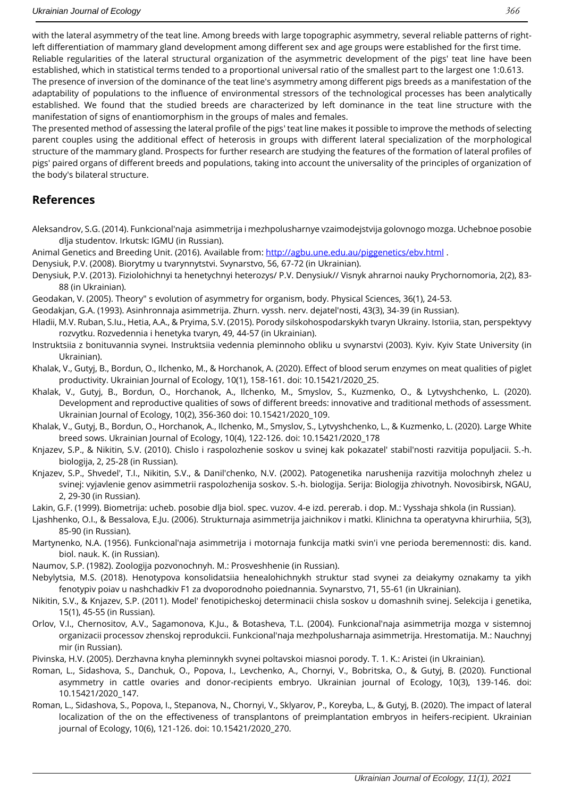with the lateral asymmetry of the teat line. Among breeds with large topographic asymmetry, several reliable patterns of rightleft differentiation of mammary gland development among different sex and age groups were established for the first time. Reliable regularities of the lateral structural organization of the asymmetric development of the pigs' teat line have been established, which in statistical terms tended to a proportional universal ratio of the smallest part to the largest one 1:0.613.

The presence of inversion of the dominance of the teat line's asymmetry among different pigs breeds as a manifestation of the adaptability of populations to the influence of environmental stressors of the technological processes has been analytically established. We found that the studied breeds are characterized by left dominance in the teat line structure with the manifestation of signs of enantiomorphism in the groups of males and females.

The presented method of assessing the lateral profile of the pigs' teat line makes it possible to improve the methods of selecting parent couples using the additional effect of heterosis in groups with different lateral specialization of the morphological structure of the mammary gland. Prospects for further research are studying the features of the formation of lateral profiles of pigs' paired organs of different breeds and populations, taking into account the universality of the principles of organization of the body's bilateral structure.

## **References**

- Aleksandrov, S.G. (2014). Funkcional'naja asimmetrija i mezhpolusharnye vzaimodejstvija golovnogo mozga. Uchebnoe posobie dlja studentov. Irkutsk: IGMU (in Russian).
- Animal Genetics and Breeding Unit. (2016). Available from: <http://agbu.une.edu.au/piggenetics/ebv.html> .
- Denysiuk, P.V. (2008). Biorytmy u tvarynnytstvi. Svynarstvo, 56, 67-72 (in Ukrainian).
- Denysiuk, P.V. (2013). Fiziolohichnyi ta henetychnyi heterozys/ P.V. Denysiuk// Visnyk ahrarnoi nauky Prychornomoria, 2(2), 83- 88 (in Ukrainian).
- Geodakan, V. (2005). Theory" s evolution of asymmetry for organism, body. Physical Sciences, 36(1), 24-53.

Geodakjan, G.A. (1993). Asinhronnaja asimmetrija. Zhurn. vyssh. nerv. dejatel'nosti, 43(3), 34-39 (in Russian).

- Hladii, M.V. Ruban, S.Iu., Hetia, A.A., & Pryima, S.V. (2015). Porody silskohospodarskykh tvaryn Ukrainy. Istoriia, stan, perspektyvy rozvytku. Rozvedennia i henetyka tvaryn, 49, 44-57 (in Ukrainian).
- Instruktsiia z bonituvannia svynei. Instruktsiia vedennia pleminnoho obliku u svynarstvi (2003). Kyiv. Kyiv State University (in Ukrainian).
- Khalak, V., Gutyj, B., Bordun, O., Ilchenko, M., & Horchanok, A. (2020). Effect of blood serum enzymes on meat qualities of piglet productivity. Ukrainian Journal of Ecology, 10(1), 158-161. doi: 10.15421/2020\_25.
- Khalak, V., Gutyj, B., Bordun, О., Horchanok, A., Ilchenko, M., Smyslov, S., Kuzmenko, O., & Lytvyshchenko, L. (2020). Development and reproductive qualities of sows of different breeds: innovative and traditional methods of assessment. Ukrainian Journal of Ecology, 10(2), 356-360 doi: 10.15421/2020\_109.
- Khalak, V., Gutyj, B., Bordun, О., Horchanok, A., Ilchenko, M., Smyslov, S., Lytvyshchenko, L., & Kuzmenko, L. (2020). Large White breed sows. Ukrainian Journal of Ecology, 10(4), 122-126. doi: 10.15421/2020\_178
- Knjazev, S.P., & Nikitin, S.V. (2010). Chislo i raspolozhenie soskov u svinej kak pokazatel' stabil'nosti razvitija populjacii. S.-h. biologija, 2, 25-28 (in Russian).
- Knjazev, S.P., Shvedel', T.I., Nikitin, S.V., & Danil'chenko, N.V. (2002). Patogenetika narushenija razvitija molochnyh zhelez u svinej: vyjavlenie genov asimmetrii raspolozhenija soskov. S.-h. biologija. Serija: Biologija zhivotnyh. Novosibirsk, NGAU, 2, 29-30 (in Russian).

Lakin, G.F. (1999). Biometrija: ucheb. posobie dlja biol. spec. vuzov. 4-e izd. pererab. i dop. M.: Vysshaja shkola (in Russian).

- Ljashhenko, O.I., & Bessalova, E.Ju. (2006). Strukturnaja asimmetrija jaichnikov i matki. Klinichna ta operatyvna khirurhiia, 5(3), 85-90 (in Russian).
- Martynenko, N.A. (1956). Funkcional'naja asimmetrija i motornaja funkcija matki svin'i vne perioda beremennosti: dis. kand. biol. nauk. K. (in Russian).
- Naumov, S.P. (1982). Zoologija pozvonochnyh. M.: Prosveshhenie (in Russian).
- Nebylytsia, M.S. (2018). Henotypova konsolidatsiia henealohichnykh struktur stad svynei za deiakymy oznakamy ta yikh fenotypiv poiav u nashchadkiv F1 za dvoporodnoho poiednannia. Svynarstvo, 71, 55-61 (in Ukrainian).
- Nikitin, S.V., & Knjazev, S.P. (2011). Model' fenotipicheskoj determinacii chisla soskov u domashnih svinej. Selekcija i genetika, 15(1), 45-55 (in Russian).
- Orlov, V.I., Chernositov, A.V., Sagamonova, K.Ju., & Botasheva, T.L. (2004). Funkcional'naja asimmetrija mozga v sistemnoj organizacii processov zhenskoj reprodukcii. Funkcional'naja mezhpolusharnaja asimmetrija. Hrestomatija. M.: Nauchnyj mir (in Russian).
- Pivinska, H.V. (2005). Derzhavna knyha pleminnykh svynei poltavskoi miasnoi porody. T. 1. K.: Aristei (in Ukrainian).
- Roman, L., Sidashova, S., Danchuk, O., Popova, I., Levchenko, A., Chornyi, V., Bobritska, O., & Gutyj, B. (2020). Functional asymmetry in cattle ovaries and donor-recipients embryo. Ukrainian journal of Ecology, 10(3), 139-146. doi: 10.15421/2020\_147.
- Roman, L., Sidashova, S., Popova, I., Stepanova, N., Chornyi, V., Sklyarov, P., Koreyba, L., & Gutyj, B. (2020). The impact of lateral localization of the on the effectiveness of transplantons of preimplantation embryos in heifers-recipient. Ukrainian journal of Ecology, 10(6), 121-126. doi: 10.15421/2020\_270.